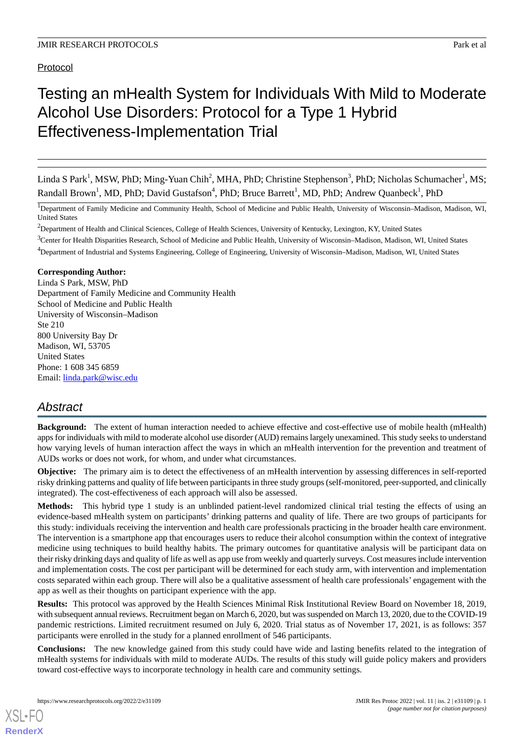# Protocol

# Testing an mHealth System for Individuals With Mild to Moderate Alcohol Use Disorders: Protocol for a Type 1 Hybrid Effectiveness-Implementation Trial

Linda S Park<sup>1</sup>, MSW, PhD; Ming-Yuan Chih<sup>2</sup>, MHA, PhD; Christine Stephenson<sup>3</sup>, PhD; Nicholas Schumacher<sup>1</sup>, MS; Randall Brown<sup>1</sup>, MD, PhD; David Gustafson<sup>4</sup>, PhD; Bruce Barrett<sup>1</sup>, MD, PhD; Andrew Quanbeck<sup>1</sup>, PhD

<sup>1</sup>Department of Family Medicine and Community Health, School of Medicine and Public Health, University of Wisconsin–Madison, Madison, WI, United States

<sup>2</sup>Department of Health and Clinical Sciences, College of Health Sciences, University of Kentucky, Lexington, KY, United States

<sup>3</sup>Center for Health Disparities Research, School of Medicine and Public Health, University of Wisconsin–Madison, Madison, WI, United States

<sup>4</sup>Department of Industrial and Systems Engineering, College of Engineering, University of Wisconsin–Madison, Madison, WI, United States

#### **Corresponding Author:**

Linda S Park, MSW, PhD Department of Family Medicine and Community Health School of Medicine and Public Health University of Wisconsin–Madison Ste 210 800 University Bay Dr Madison, WI, 53705 United States Phone: 1 608 345 6859 Email: [linda.park@wisc.edu](mailto:linda.park@wisc.edu)

# *Abstract*

**Background:** The extent of human interaction needed to achieve effective and cost-effective use of mobile health (mHealth) apps for individuals with mild to moderate alcohol use disorder (AUD) remains largely unexamined. This study seeks to understand how varying levels of human interaction affect the ways in which an mHealth intervention for the prevention and treatment of AUDs works or does not work, for whom, and under what circumstances.

**Objective:** The primary aim is to detect the effectiveness of an mHealth intervention by assessing differences in self-reported risky drinking patterns and quality of life between participants in three study groups (self-monitored, peer-supported, and clinically integrated). The cost-effectiveness of each approach will also be assessed.

**Methods:** This hybrid type 1 study is an unblinded patient-level randomized clinical trial testing the effects of using an evidence-based mHealth system on participants' drinking patterns and quality of life. There are two groups of participants for this study: individuals receiving the intervention and health care professionals practicing in the broader health care environment. The intervention is a smartphone app that encourages users to reduce their alcohol consumption within the context of integrative medicine using techniques to build healthy habits. The primary outcomes for quantitative analysis will be participant data on their risky drinking days and quality of life as well as app use from weekly and quarterly surveys. Cost measures include intervention and implementation costs. The cost per participant will be determined for each study arm, with intervention and implementation costs separated within each group. There will also be a qualitative assessment of health care professionals' engagement with the app as well as their thoughts on participant experience with the app.

**Results:** This protocol was approved by the Health Sciences Minimal Risk Institutional Review Board on November 18, 2019, with subsequent annual reviews. Recruitment began on March 6, 2020, but was suspended on March 13, 2020, due to the COVID-19 pandemic restrictions. Limited recruitment resumed on July 6, 2020. Trial status as of November 17, 2021, is as follows: 357 participants were enrolled in the study for a planned enrollment of 546 participants.

**Conclusions:** The new knowledge gained from this study could have wide and lasting benefits related to the integration of mHealth systems for individuals with mild to moderate AUDs. The results of this study will guide policy makers and providers toward cost-effective ways to incorporate technology in health care and community settings.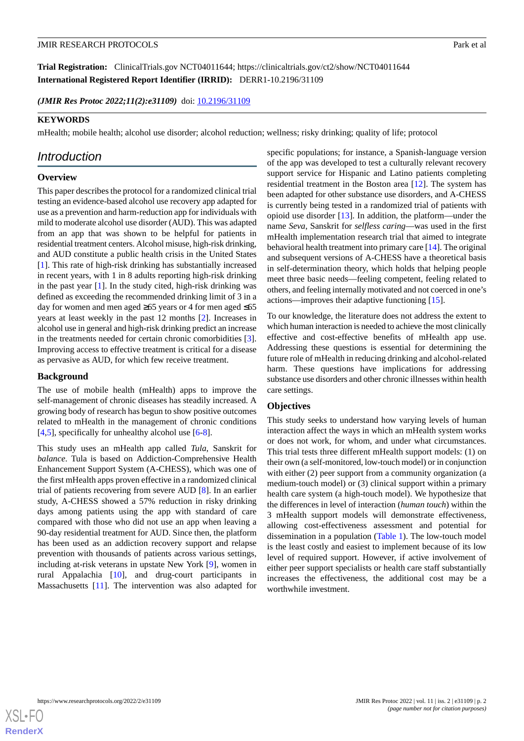**Trial Registration:** ClinicalTrials.gov NCT04011644; https://clinicaltrials.gov/ct2/show/NCT04011644 **International Registered Report Identifier (IRRID):** DERR1-10.2196/31109

(JMIR Res Protoc 2022;11(2):e31109) doi: [10.2196/31109](http://dx.doi.org/10.2196/31109)

# **KEYWORDS**

mHealth; mobile health; alcohol use disorder; alcohol reduction; wellness; risky drinking; quality of life; protocol

# *Introduction*

# **Overview**

This paper describes the protocol for a randomized clinical trial testing an evidence-based alcohol use recovery app adapted for use as a prevention and harm-reduction app for individuals with mild to moderate alcohol use disorder (AUD). This was adapted from an app that was shown to be helpful for patients in residential treatment centers. Alcohol misuse, high-risk drinking, and AUD constitute a public health crisis in the United States [[1\]](#page-9-0). This rate of high-risk drinking has substantially increased in recent years, with 1 in 8 adults reporting high-risk drinking in the past year  $[1]$  $[1]$ . In the study cited, high-risk drinking was defined as exceeding the recommended drinking limit of 3 in a day for women and men aged ≥65 years or 4 for men aged ≤65 years at least weekly in the past 12 months [[2\]](#page-9-1). Increases in alcohol use in general and high-risk drinking predict an increase in the treatments needed for certain chronic comorbidities [[3\]](#page-9-2). Improving access to effective treatment is critical for a disease as pervasive as AUD, for which few receive treatment.

# **Background**

The use of mobile health (mHealth) apps to improve the self-management of chronic diseases has steadily increased. A growing body of research has begun to show positive outcomes related to mHealth in the management of chronic conditions [[4](#page-9-3)[,5](#page-9-4)], specifically for unhealthy alcohol use [\[6](#page-9-5)-[8\]](#page-9-6).

This study uses an mHealth app called *Tula*, Sanskrit for *balance*. Tula is based on Addiction-Comprehensive Health Enhancement Support System (A-CHESS), which was one of the first mHealth apps proven effective in a randomized clinical trial of patients recovering from severe AUD [\[8](#page-9-6)]. In an earlier study, A-CHESS showed a 57% reduction in risky drinking days among patients using the app with standard of care compared with those who did not use an app when leaving a 90-day residential treatment for AUD. Since then, the platform has been used as an addiction recovery support and relapse prevention with thousands of patients across various settings, including at-risk veterans in upstate New York [[9\]](#page-9-7), women in rural Appalachia [\[10](#page-10-0)], and drug-court participants in Massachusetts [\[11](#page-10-1)]. The intervention was also adapted for specific populations; for instance, a Spanish-language version of the app was developed to test a culturally relevant recovery support service for Hispanic and Latino patients completing residential treatment in the Boston area [[12\]](#page-10-2). The system has been adapted for other substance use disorders, and A-CHESS is currently being tested in a randomized trial of patients with opioid use disorder [\[13](#page-10-3)]. In addition, the platform—under the name *Seva*, Sanskrit for *selfless caring*—was used in the first mHealth implementation research trial that aimed to integrate behavioral health treatment into primary care [\[14](#page-10-4)]. The original and subsequent versions of A-CHESS have a theoretical basis in self-determination theory, which holds that helping people meet three basic needs—feeling competent, feeling related to others, and feeling internally motivated and not coerced in one's actions—improves their adaptive functioning [\[15](#page-10-5)].

To our knowledge, the literature does not address the extent to which human interaction is needed to achieve the most clinically effective and cost-effective benefits of mHealth app use. Addressing these questions is essential for determining the future role of mHealth in reducing drinking and alcohol-related harm. These questions have implications for addressing substance use disorders and other chronic illnesses within health care settings.

# **Objectives**

This study seeks to understand how varying levels of human interaction affect the ways in which an mHealth system works or does not work, for whom, and under what circumstances. This trial tests three different mHealth support models: (1) on their own (a self-monitored, low-touch model) or in conjunction with either (2) peer support from a community organization (a medium-touch model) or (3) clinical support within a primary health care system (a high-touch model). We hypothesize that the differences in level of interaction (*human touch*) within the 3 mHealth support models will demonstrate effectiveness, allowing cost-effectiveness assessment and potential for dissemination in a population [\(Table 1\)](#page-2-0). The low-touch model is the least costly and easiest to implement because of its low level of required support. However, if active involvement of either peer support specialists or health care staff substantially increases the effectiveness, the additional cost may be a worthwhile investment.

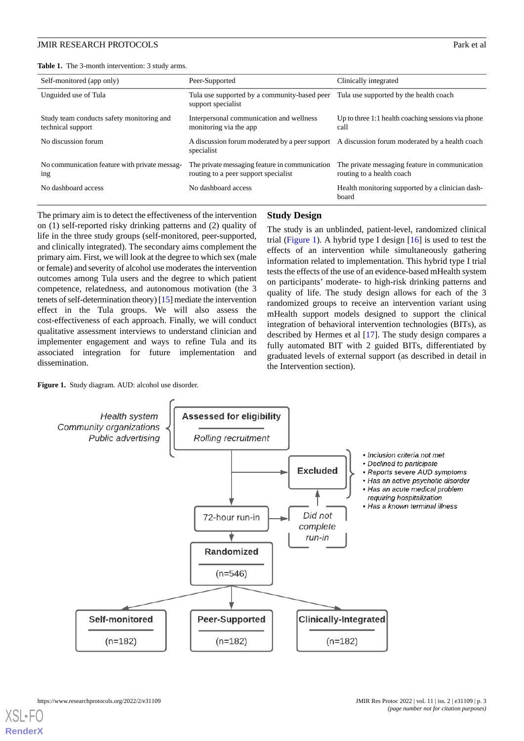<span id="page-2-0"></span>**Table 1.** The 3-month intervention: 3 study arms.

| Self-monitored (app only)                                      | Peer-Supported                                                                         | Clinically integrated                                                                         |  |
|----------------------------------------------------------------|----------------------------------------------------------------------------------------|-----------------------------------------------------------------------------------------------|--|
| Unguided use of Tula                                           | Tula use supported by a community-based peer<br>support specialist                     | Tula use supported by the health coach                                                        |  |
| Study team conducts safety monitoring and<br>technical support | Interpersonal communication and wellness<br>monitoring via the app.                    | Up to three $1:1$ health coaching sessions via phone<br>call                                  |  |
| No discussion forum                                            | specialist                                                                             | A discussion forum moderated by a peer support A discussion forum moderated by a health coach |  |
| No communication feature with private messag-<br>ing           | The private messaging feature in communication<br>routing to a peer support specialist | The private messaging feature in communication<br>routing to a health coach                   |  |
| No dashboard access                                            | No dashboard access                                                                    | Health monitoring supported by a clinician dash-<br>board                                     |  |

The primary aim is to detect the effectiveness of the intervention on (1) self-reported risky drinking patterns and (2) quality of life in the three study groups (self-monitored, peer-supported, and clinically integrated). The secondary aims complement the primary aim. First, we will look at the degree to which sex (male or female) and severity of alcohol use moderates the intervention outcomes among Tula users and the degree to which patient competence, relatedness, and autonomous motivation (the 3 tenets of self-determination theory) [\[15](#page-10-5)] mediate the intervention effect in the Tula groups. We will also assess the cost-effectiveness of each approach. Finally, we will conduct qualitative assessment interviews to understand clinician and implementer engagement and ways to refine Tula and its associated integration for future implementation and dissemination.

#### **Study Design**

The study is an unblinded, patient-level, randomized clinical trial ([Figure 1\)](#page-2-1). A hybrid type I design  $[16]$  $[16]$  is used to test the effects of an intervention while simultaneously gathering information related to implementation. This hybrid type I trial tests the effects of the use of an evidence-based mHealth system on participants' moderate- to high-risk drinking patterns and quality of life. The study design allows for each of the 3 randomized groups to receive an intervention variant using mHealth support models designed to support the clinical integration of behavioral intervention technologies (BITs), as described by Hermes et al [[17\]](#page-10-7). The study design compares a fully automated BIT with 2 guided BITs, differentiated by graduated levels of external support (as described in detail in the Intervention section).

<span id="page-2-1"></span>

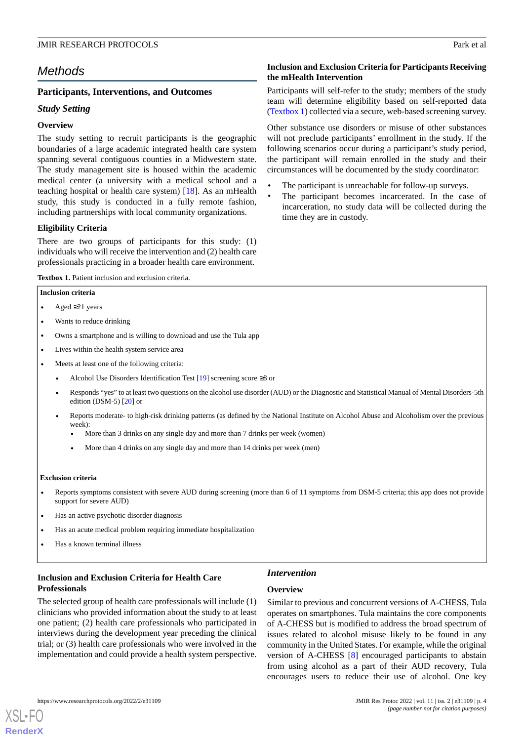**Inclusion and Exclusion Criteria for Participants Receiving**

Participants will self-refer to the study; members of the study team will determine eligibility based on self-reported data ([Textbox 1](#page-3-0)) collected via a secure, web-based screening survey. Other substance use disorders or misuse of other substances will not preclude participants' enrollment in the study. If the following scenarios occur during a participant's study period, the participant will remain enrolled in the study and their circumstances will be documented by the study coordinator: The participant is unreachable for follow-up surveys. The participant becomes incarcerated. In the case of incarceration, no study data will be collected during the

**the mHealth Intervention**

time they are in custody.

# *Methods*

### **Participants, Interventions, and Outcomes**

### *Study Setting*

### **Overview**

The study setting to recruit participants is the geographic boundaries of a large academic integrated health care system spanning several contiguous counties in a Midwestern state. The study management site is housed within the academic medical center (a university with a medical school and a teaching hospital or health care system) [\[18](#page-10-8)]. As an mHealth study, this study is conducted in a fully remote fashion, including partnerships with local community organizations.

#### **Eligibility Criteria**

<span id="page-3-0"></span>There are two groups of participants for this study: (1) individuals who will receive the intervention and (2) health care professionals practicing in a broader health care environment.

**Textbox 1.** Patient inclusion and exclusion criteria.

#### **Inclusion criteria**

- Aged  $\geq$ 21 years
- Wants to reduce drinking
- Owns a smartphone and is willing to download and use the Tula app
- Lives within the health system service area
- Meets at least one of the following criteria:
	- Alcohol Use Disorders Identification Test  $[19]$  screening score ≥8 or
	- Responds "yes" to at least two questions on the alcohol use disorder (AUD) or the Diagnostic and Statistical Manual of Mental Disorders-5th edition (DSM-5) [\[20\]](#page-10-10) or
	- Reports moderate- to high-risk drinking patterns (as defined by the National Institute on Alcohol Abuse and Alcoholism over the previous week):
		- More than 3 drinks on any single day and more than 7 drinks per week (women)
		- More than 4 drinks on any single day and more than 14 drinks per week (men)

#### **Exclusion criteria**

- Reports symptoms consistent with severe AUD during screening (more than 6 of 11 symptoms from DSM-5 criteria; this app does not provide support for severe AUD)
- Has an active psychotic disorder diagnosis
- Has an acute medical problem requiring immediate hospitalization
- Has a known terminal illness

# **Inclusion and Exclusion Criteria for Health Care Professionals**

The selected group of health care professionals will include (1) clinicians who provided information about the study to at least one patient; (2) health care professionals who participated in interviews during the development year preceding the clinical trial; or (3) health care professionals who were involved in the implementation and could provide a health system perspective.

# *Intervention*

#### **Overview**

Similar to previous and concurrent versions of A-CHESS, Tula operates on smartphones. Tula maintains the core components of A-CHESS but is modified to address the broad spectrum of issues related to alcohol misuse likely to be found in any community in the United States. For example, while the original version of A-CHESS [[8\]](#page-9-6) encouraged participants to abstain from using alcohol as a part of their AUD recovery, Tula encourages users to reduce their use of alcohol. One key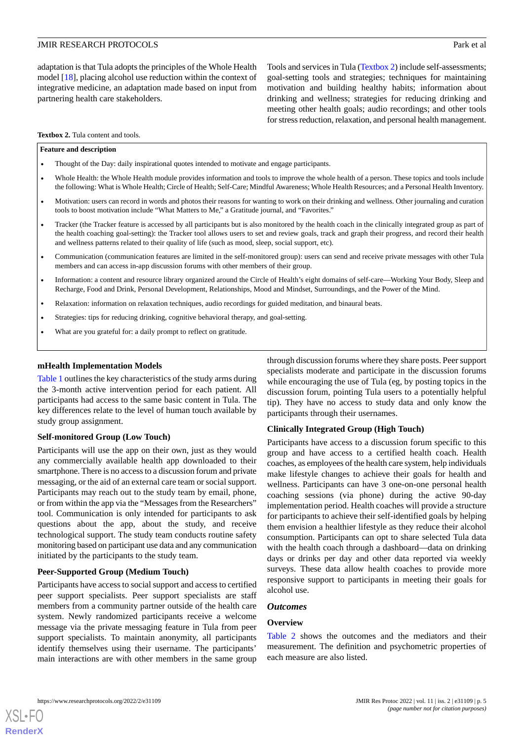adaptation is that Tula adopts the principles of the Whole Health model [\[18](#page-10-8)], placing alcohol use reduction within the context of integrative medicine, an adaptation made based on input from partnering health care stakeholders.

Tools and services in Tula ([Textbox 2\)](#page-4-0) include self-assessments; goal-setting tools and strategies; techniques for maintaining motivation and building healthy habits; information about drinking and wellness; strategies for reducing drinking and meeting other health goals; audio recordings; and other tools for stress reduction, relaxation, and personal health management.

<span id="page-4-0"></span>**Textbox 2.** Tula content and tools.

#### **Feature and description**

- Thought of the Day: daily inspirational quotes intended to motivate and engage participants.
- Whole Health: the Whole Health module provides information and tools to improve the whole health of a person. These topics and tools include the following: What is Whole Health; Circle of Health; Self-Care; Mindful Awareness; Whole Health Resources; and a Personal Health Inventory.
- Motivation: users can record in words and photos their reasons for wanting to work on their drinking and wellness. Other journaling and curation tools to boost motivation include "What Matters to Me," a Gratitude journal, and "Favorites."
- Tracker (the Tracker feature is accessed by all participants but is also monitored by the health coach in the clinically integrated group as part of the health coaching goal-setting): the Tracker tool allows users to set and review goals, track and graph their progress, and record their health and wellness patterns related to their quality of life (such as mood, sleep, social support, etc).
- Communication (communication features are limited in the self-monitored group): users can send and receive private messages with other Tula members and can access in-app discussion forums with other members of their group.
- Information: a content and resource library organized around the Circle of Health's eight domains of self-care—Working Your Body, Sleep and Recharge, Food and Drink, Personal Development, Relationships, Mood and Mindset, Surroundings, and the Power of the Mind.
- Relaxation: information on relaxation techniques, audio recordings for guided meditation, and binaural beats.
- Strategies: tips for reducing drinking, cognitive behavioral therapy, and goal-setting.
- What are you grateful for: a daily prompt to reflect on gratitude.

#### **mHealth Implementation Models**

[Table 1](#page-2-0) outlines the key characteristics of the study arms during the 3-month active intervention period for each patient. All participants had access to the same basic content in Tula. The key differences relate to the level of human touch available by study group assignment.

#### **Self-monitored Group (Low Touch)**

Participants will use the app on their own, just as they would any commercially available health app downloaded to their smartphone. There is no access to a discussion forum and private messaging, or the aid of an external care team or social support. Participants may reach out to the study team by email, phone, or from within the app via the "Messages from the Researchers" tool. Communication is only intended for participants to ask questions about the app, about the study, and receive technological support. The study team conducts routine safety monitoring based on participant use data and any communication initiated by the participants to the study team.

#### **Peer-Supported Group (Medium Touch)**

Participants have access to social support and access to certified peer support specialists. Peer support specialists are staff members from a community partner outside of the health care system. Newly randomized participants receive a welcome message via the private messaging feature in Tula from peer support specialists. To maintain anonymity, all participants identify themselves using their username. The participants' main interactions are with other members in the same group

through discussion forums where they share posts. Peer support specialists moderate and participate in the discussion forums while encouraging the use of Tula (eg, by posting topics in the discussion forum, pointing Tula users to a potentially helpful tip). They have no access to study data and only know the participants through their usernames.

#### **Clinically Integrated Group (High Touch)**

Participants have access to a discussion forum specific to this group and have access to a certified health coach. Health coaches, as employees of the health care system, help individuals make lifestyle changes to achieve their goals for health and wellness. Participants can have 3 one-on-one personal health coaching sessions (via phone) during the active 90-day implementation period. Health coaches will provide a structure for participants to achieve their self-identified goals by helping them envision a healthier lifestyle as they reduce their alcohol consumption. Participants can opt to share selected Tula data with the health coach through a dashboard—data on drinking days or drinks per day and other data reported via weekly surveys. These data allow health coaches to provide more responsive support to participants in meeting their goals for alcohol use.

#### *Outcomes*

#### **Overview**

[Table 2](#page-5-0) shows the outcomes and the mediators and their measurement. The definition and psychometric properties of each measure are also listed.



**[RenderX](http://www.renderx.com/)**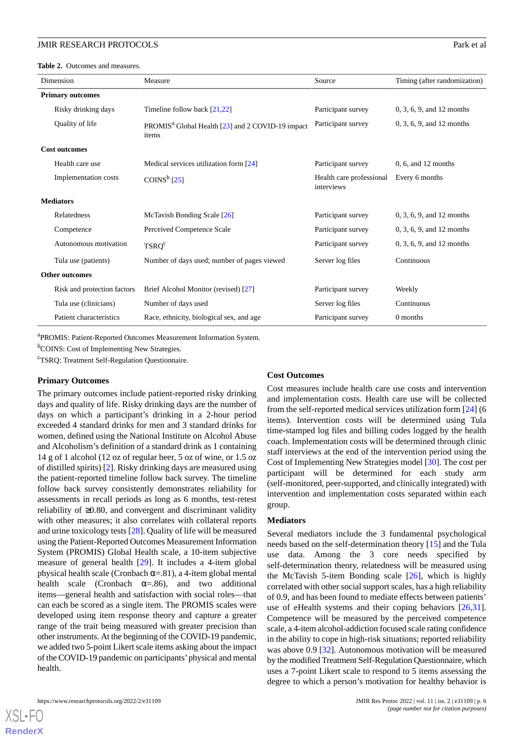<span id="page-5-0"></span>**Table 2.** Outcomes and measures.

| Dimension                   | Measure                                                               | Source                                 | Timing (after randomization) |
|-----------------------------|-----------------------------------------------------------------------|----------------------------------------|------------------------------|
| <b>Primary outcomes</b>     |                                                                       |                                        |                              |
| Risky drinking days         | Timeline follow back [21,22]                                          | Participant survey                     | 0, 3, 6, 9, and 12 months    |
| Quality of life             | PROMIS <sup>a</sup> Global Health [23] and 2 COVID-19 impact<br>items | Participant survey                     | 0, 3, 6, 9, and 12 months    |
| <b>Cost outcomes</b>        |                                                                       |                                        |                              |
| Health care use             | Medical services utilization form [24]                                | Participant survey                     | $0, 6,$ and 12 months        |
| Implementation costs        | COINS <sup>b</sup> <sub>[25]</sub>                                    | Health care professional<br>interviews | Every 6 months               |
| <b>Mediators</b>            |                                                                       |                                        |                              |
| Relatedness                 | McTavish Bonding Scale [26]                                           | Participant survey                     | 0, 3, 6, 9, and 12 months    |
| Competence                  | Perceived Competence Scale                                            | Participant survey                     | $0, 3, 6, 9,$ and 12 months  |
| Autonomous motivation       | TSRQ <sup>c</sup>                                                     | Participant survey                     | 0, 3, 6, 9, and 12 months    |
| Tula use (patients)         | Number of days used; number of pages viewed                           | Server log files                       | Continuous                   |
| <b>Other outcomes</b>       |                                                                       |                                        |                              |
| Risk and protection factors | Brief Alcohol Monitor (revised) [27]                                  | Participant survey                     | Weekly                       |
| Tula use (clinicians)       | Number of days used                                                   | Server log files                       | Continuous                   |
| Patient characteristics     | Race, ethnicity, biological sex, and age                              | Participant survey                     | 0 months                     |

<sup>a</sup>PROMIS: Patient-Reported Outcomes Measurement Information System.

<sup>b</sup>COINS: Cost of Implementing New Strategies.

<sup>c</sup>TSRQ: Treatment Self-Regulation Questionnaire.

#### **Primary Outcomes**

The primary outcomes include patient-reported risky drinking days and quality of life. Risky drinking days are the number of days on which a participant's drinking in a 2-hour period exceeded 4 standard drinks for men and 3 standard drinks for women, defined using the National Institute on Alcohol Abuse and Alcoholism's definition of a standard drink as 1 containing 14 g of 1 alcohol (12 oz of regular beer, 5 oz of wine, or 1.5 oz of distilled spirits) [\[2\]](#page-9-1). Risky drinking days are measured using the patient-reported timeline follow back survey. The timeline follow back survey consistently demonstrates reliability for assessments in recall periods as long as 6 months, test-retest reliability of ≥0.80, and convergent and discriminant validity with other measures; it also correlates with collateral reports and urine toxicology tests [\[28](#page-10-18)]. Quality of life will be measured using the Patient-Reported Outcomes Measurement Information System (PROMIS) Global Health scale, a 10-item subjective measure of general health [[29\]](#page-10-19). It includes a 4-item global physical health scale (Cronbach  $\alpha$ =.81), a 4-item global mental health scale (Cronbach  $\alpha = .86$ ), and two additional items—general health and satisfaction with social roles—that can each be scored as a single item. The PROMIS scales were developed using item response theory and capture a greater range of the trait being measured with greater precision than other instruments. At the beginning of the COVID-19 pandemic, we added two 5-point Likert scale items asking about the impact of the COVID-19 pandemic on participants'physical and mental health.

#### **Cost Outcomes**

Cost measures include health care use costs and intervention and implementation costs. Health care use will be collected from the self-reported medical services utilization form [[24\]](#page-10-14) (6 items). Intervention costs will be determined using Tula time-stamped log files and billing codes logged by the health coach. Implementation costs will be determined through clinic staff interviews at the end of the intervention period using the Cost of Implementing New Strategies model [[30\]](#page-10-20). The cost per participant will be determined for each study arm (self-monitored, peer-supported, and clinically integrated) with intervention and implementation costs separated within each group.

#### **Mediators**

Several mediators include the 3 fundamental psychological needs based on the self-determination theory [[15\]](#page-10-5) and the Tula use data. Among the 3 core needs specified by self-determination theory, relatedness will be measured using the McTavish 5-item Bonding scale [[26\]](#page-10-16), which is highly correlated with other social support scales, has a high reliability of 0.9, and has been found to mediate effects between patients' use of eHealth systems and their coping behaviors [\[26](#page-10-16),[31\]](#page-10-21). Competence will be measured by the perceived competence scale, a 4-item alcohol-addiction focused scale rating confidence in the ability to cope in high-risk situations; reported reliability was above 0.9 [\[32](#page-11-0)]. Autonomous motivation will be measured by the modified Treatment Self-Regulation Questionnaire, which uses a 7-point Likert scale to respond to 5 items assessing the degree to which a person's motivation for healthy behavior is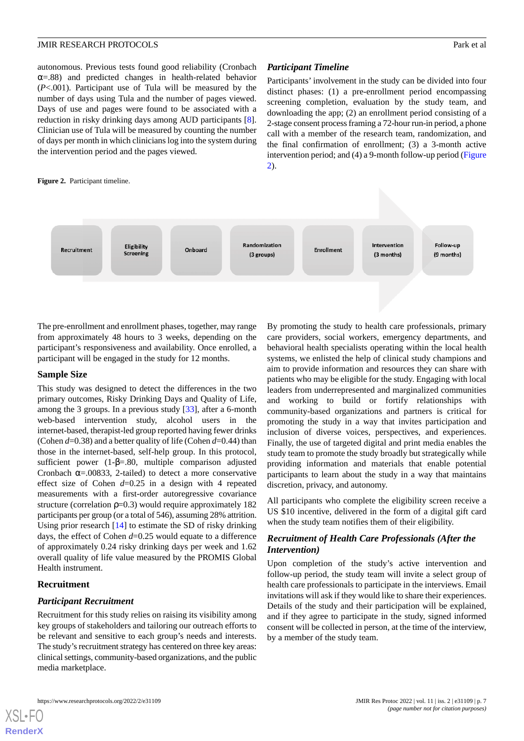autonomous. Previous tests found good reliability (Cronbach  $\alpha$ =.88) and predicted changes in health-related behavior (*P*<.001). Participant use of Tula will be measured by the number of days using Tula and the number of pages viewed. Days of use and pages were found to be associated with a reduction in risky drinking days among AUD participants [[8\]](#page-9-6). Clinician use of Tula will be measured by counting the number of days per month in which clinicians log into the system during the intervention period and the pages viewed.

#### <span id="page-6-0"></span>**Figure 2.** Participant timeline.

### *Participant Timeline*

Participants' involvement in the study can be divided into four distinct phases: (1) a pre-enrollment period encompassing screening completion, evaluation by the study team, and downloading the app; (2) an enrollment period consisting of a 2-stage consent process framing a 72-hour run-in period, a phone call with a member of the research team, randomization, and the final confirmation of enrollment; (3) a 3-month active intervention period; and (4) a 9-month follow-up period ([Figure](#page-6-0) [2\)](#page-6-0).



The pre-enrollment and enrollment phases, together, may range from approximately 48 hours to 3 weeks, depending on the participant's responsiveness and availability. Once enrolled, a participant will be engaged in the study for 12 months.

#### **Sample Size**

This study was designed to detect the differences in the two primary outcomes, Risky Drinking Days and Quality of Life, among the 3 groups. In a previous study [[33\]](#page-11-1), after a 6-month web-based intervention study, alcohol users in the internet-based, therapist-led group reported having fewer drinks (Cohen *d*=0.38) and a better quality of life (Cohen *d*=0.44) than those in the internet-based, self-help group. In this protocol, sufficient power (1-β=.80, multiple comparison adjusted Cronbach  $\alpha$ =.00833, 2-tailed) to detect a more conservative effect size of Cohen *d*=0.25 in a design with 4 repeated measurements with a first-order autoregressive covariance structure (correlation  $p=0.3$ ) would require approximately 182 participants per group (or a total of 546), assuming 28% attrition. Using prior research [[14\]](#page-10-4) to estimate the SD of risky drinking days, the effect of Cohen *d*=0.25 would equate to a difference of approximately 0.24 risky drinking days per week and 1.62 overall quality of life value measured by the PROMIS Global Health instrument.

# **Recruitment**

[XSL](http://www.w3.org/Style/XSL)•FO **[RenderX](http://www.renderx.com/)**

#### *Participant Recruitment*

Recruitment for this study relies on raising its visibility among key groups of stakeholders and tailoring our outreach efforts to be relevant and sensitive to each group's needs and interests. The study's recruitment strategy has centered on three key areas: clinical settings, community-based organizations, and the public media marketplace.

By promoting the study to health care professionals, primary care providers, social workers, emergency departments, and behavioral health specialists operating within the local health systems, we enlisted the help of clinical study champions and aim to provide information and resources they can share with patients who may be eligible for the study. Engaging with local leaders from underrepresented and marginalized communities and working to build or fortify relationships with community-based organizations and partners is critical for promoting the study in a way that invites participation and inclusion of diverse voices, perspectives, and experiences. Finally, the use of targeted digital and print media enables the study team to promote the study broadly but strategically while providing information and materials that enable potential participants to learn about the study in a way that maintains discretion, privacy, and autonomy.

All participants who complete the eligibility screen receive a US \$10 incentive, delivered in the form of a digital gift card when the study team notifies them of their eligibility.

#### *Recruitment of Health Care Professionals (After the Intervention)*

Upon completion of the study's active intervention and follow-up period, the study team will invite a select group of health care professionals to participate in the interviews. Email invitations will ask if they would like to share their experiences. Details of the study and their participation will be explained, and if they agree to participate in the study, signed informed consent will be collected in person, at the time of the interview, by a member of the study team.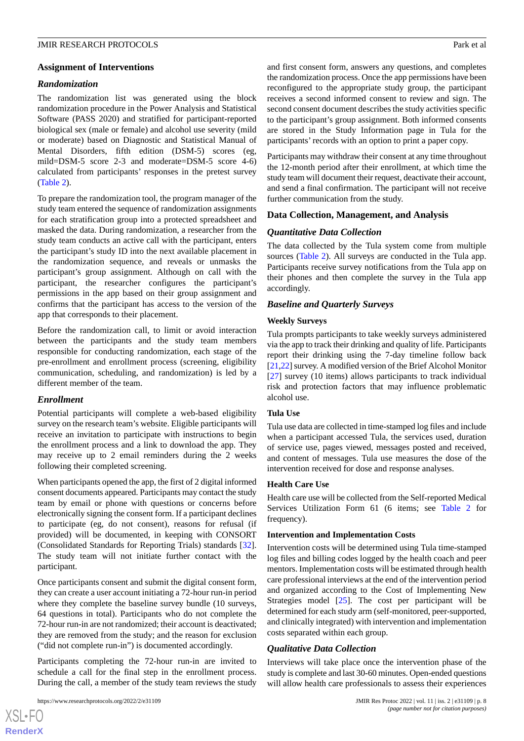#### **Assignment of Interventions**

### *Randomization*

The randomization list was generated using the block randomization procedure in the Power Analysis and Statistical Software (PASS 2020) and stratified for participant-reported biological sex (male or female) and alcohol use severity (mild or moderate) based on Diagnostic and Statistical Manual of Mental Disorders, fifth edition (DSM-5) scores (eg, mild=DSM-5 score 2-3 and moderate=DSM-5 score 4-6) calculated from participants' responses in the pretest survey ([Table 2](#page-5-0)).

To prepare the randomization tool, the program manager of the study team entered the sequence of randomization assignments for each stratification group into a protected spreadsheet and masked the data. During randomization, a researcher from the study team conducts an active call with the participant, enters the participant's study ID into the next available placement in the randomization sequence, and reveals or unmasks the participant's group assignment. Although on call with the participant, the researcher configures the participant's permissions in the app based on their group assignment and confirms that the participant has access to the version of the app that corresponds to their placement.

Before the randomization call, to limit or avoid interaction between the participants and the study team members responsible for conducting randomization, each stage of the pre-enrollment and enrollment process (screening, eligibility communication, scheduling, and randomization) is led by a different member of the team.

# *Enrollment*

Potential participants will complete a web-based eligibility survey on the research team's website. Eligible participants will receive an invitation to participate with instructions to begin the enrollment process and a link to download the app. They may receive up to 2 email reminders during the 2 weeks following their completed screening.

When participants opened the app, the first of 2 digital informed consent documents appeared. Participants may contact the study team by email or phone with questions or concerns before electronically signing the consent form. If a participant declines to participate (eg, do not consent), reasons for refusal (if provided) will be documented, in keeping with CONSORT (Consolidated Standards for Reporting Trials) standards [[32\]](#page-11-0). The study team will not initiate further contact with the participant.

Once participants consent and submit the digital consent form, they can create a user account initiating a 72-hour run-in period where they complete the baseline survey bundle (10 surveys, 64 questions in total). Participants who do not complete the 72-hour run-in are not randomized; their account is deactivated; they are removed from the study; and the reason for exclusion ("did not complete run-in") is documented accordingly.

Participants completing the 72-hour run-in are invited to schedule a call for the final step in the enrollment process. During the call, a member of the study team reviews the study

[XSL](http://www.w3.org/Style/XSL)•FO **[RenderX](http://www.renderx.com/)** and first consent form, answers any questions, and completes the randomization process. Once the app permissions have been reconfigured to the appropriate study group, the participant receives a second informed consent to review and sign. The second consent document describes the study activities specific to the participant's group assignment. Both informed consents are stored in the Study Information page in Tula for the participants' records with an option to print a paper copy.

Participants may withdraw their consent at any time throughout the 12-month period after their enrollment, at which time the study team will document their request, deactivate their account, and send a final confirmation. The participant will not receive further communication from the study.

# **Data Collection, Management, and Analysis**

# *Quantitative Data Collection*

The data collected by the Tula system come from multiple sources [\(Table 2](#page-5-0)). All surveys are conducted in the Tula app. Participants receive survey notifications from the Tula app on their phones and then complete the survey in the Tula app accordingly.

# *Baseline and Quarterly Surveys*

# **Weekly Surveys**

Tula prompts participants to take weekly surveys administered via the app to track their drinking and quality of life. Participants report their drinking using the 7-day timeline follow back [[21,](#page-10-11)[22](#page-10-12)] survey. A modified version of the Brief Alcohol Monitor [[27\]](#page-10-17) survey (10 items) allows participants to track individual risk and protection factors that may influence problematic alcohol use.

#### **Tula Use**

Tula use data are collected in time-stamped log files and include when a participant accessed Tula, the services used, duration of service use, pages viewed, messages posted and received, and content of messages. Tula use measures the dose of the intervention received for dose and response analyses.

#### **Health Care Use**

Health care use will be collected from the Self-reported Medical Services Utilization Form 61 (6 items; see [Table 2](#page-5-0) for frequency).

#### **Intervention and Implementation Costs**

Intervention costs will be determined using Tula time-stamped log files and billing codes logged by the health coach and peer mentors. Implementation costs will be estimated through health care professional interviews at the end of the intervention period and organized according to the Cost of Implementing New Strategies model [[25\]](#page-10-15). The cost per participant will be determined for each study arm (self-monitored, peer-supported, and clinically integrated) with intervention and implementation costs separated within each group.

# *Qualitative Data Collection*

Interviews will take place once the intervention phase of the study is complete and last 30-60 minutes. Open-ended questions will allow health care professionals to assess their experiences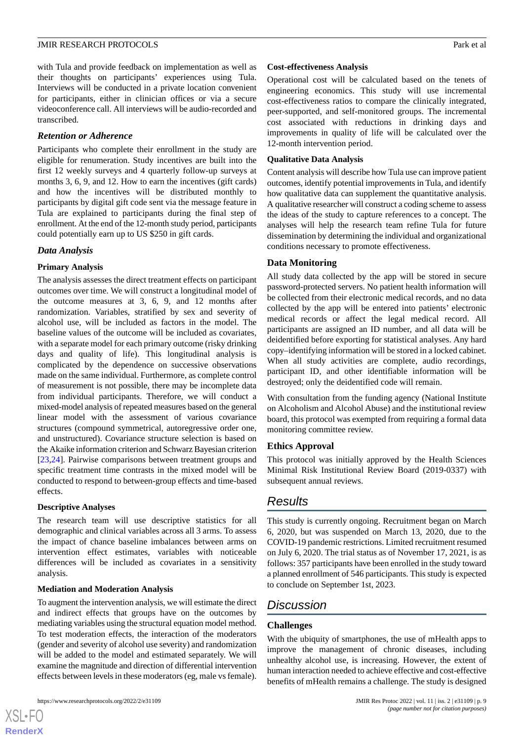with Tula and provide feedback on implementation as well as their thoughts on participants' experiences using Tula. Interviews will be conducted in a private location convenient for participants, either in clinician offices or via a secure videoconference call. All interviews will be audio-recorded and transcribed.

### *Retention or Adherence*

Participants who complete their enrollment in the study are eligible for renumeration. Study incentives are built into the first 12 weekly surveys and 4 quarterly follow-up surveys at months 3, 6, 9, and 12. How to earn the incentives (gift cards) and how the incentives will be distributed monthly to participants by digital gift code sent via the message feature in Tula are explained to participants during the final step of enrollment. At the end of the 12-month study period, participants could potentially earn up to US \$250 in gift cards.

# *Data Analysis*

# **Primary Analysis**

The analysis assesses the direct treatment effects on participant outcomes over time. We will construct a longitudinal model of the outcome measures at 3, 6, 9, and 12 months after randomization. Variables, stratified by sex and severity of alcohol use, will be included as factors in the model. The baseline values of the outcome will be included as covariates, with a separate model for each primary outcome (risky drinking days and quality of life). This longitudinal analysis is complicated by the dependence on successive observations made on the same individual. Furthermore, as complete control of measurement is not possible, there may be incomplete data from individual participants. Therefore, we will conduct a mixed-model analysis of repeated measures based on the general linear model with the assessment of various covariance structures (compound symmetrical, autoregressive order one, and unstructured). Covariance structure selection is based on the Akaike information criterion and Schwarz Bayesian criterion [[23](#page-10-13)[,24](#page-10-14)]. Pairwise comparisons between treatment groups and specific treatment time contrasts in the mixed model will be conducted to respond to between-group effects and time-based effects.

#### **Descriptive Analyses**

The research team will use descriptive statistics for all demographic and clinical variables across all 3 arms. To assess the impact of chance baseline imbalances between arms on intervention effect estimates, variables with noticeable differences will be included as covariates in a sensitivity analysis.

#### **Mediation and Moderation Analysis**

To augment the intervention analysis, we will estimate the direct and indirect effects that groups have on the outcomes by mediating variables using the structural equation model method. To test moderation effects, the interaction of the moderators (gender and severity of alcohol use severity) and randomization will be added to the model and estimated separately. We will examine the magnitude and direction of differential intervention effects between levels in these moderators (eg, male vs female).

#### **Cost-effectiveness Analysis**

Operational cost will be calculated based on the tenets of engineering economics. This study will use incremental cost-effectiveness ratios to compare the clinically integrated, peer-supported, and self-monitored groups. The incremental cost associated with reductions in drinking days and improvements in quality of life will be calculated over the 12-month intervention period.

#### **Qualitative Data Analysis**

Content analysis will describe how Tula use can improve patient outcomes, identify potential improvements in Tula, and identify how qualitative data can supplement the quantitative analysis. A qualitative researcher will construct a coding scheme to assess the ideas of the study to capture references to a concept. The analyses will help the research team refine Tula for future dissemination by determining the individual and organizational conditions necessary to promote effectiveness.

# **Data Monitoring**

All study data collected by the app will be stored in secure password-protected servers. No patient health information will be collected from their electronic medical records, and no data collected by the app will be entered into patients' electronic medical records or affect the legal medical record. All participants are assigned an ID number, and all data will be deidentified before exporting for statistical analyses. Any hard copy–identifying information will be stored in a locked cabinet. When all study activities are complete, audio recordings, participant ID, and other identifiable information will be destroyed; only the deidentified code will remain.

With consultation from the funding agency (National Institute on Alcoholism and Alcohol Abuse) and the institutional review board, this protocol was exempted from requiring a formal data monitoring committee review.

# **Ethics Approval**

This protocol was initially approved by the Health Sciences Minimal Risk Institutional Review Board (2019-0337) with subsequent annual reviews.

# *Results*

This study is currently ongoing. Recruitment began on March 6, 2020, but was suspended on March 13, 2020, due to the COVID-19 pandemic restrictions. Limited recruitment resumed on July 6, 2020. The trial status as of November 17, 2021, is as follows: 357 participants have been enrolled in the study toward a planned enrollment of 546 participants. This study is expected to conclude on September 1st, 2023.

# *Discussion*

# **Challenges**

With the ubiquity of smartphones, the use of mHealth apps to improve the management of chronic diseases, including unhealthy alcohol use, is increasing. However, the extent of human interaction needed to achieve effective and cost-effective benefits of mHealth remains a challenge. The study is designed

```
XS-FO
RenderX
```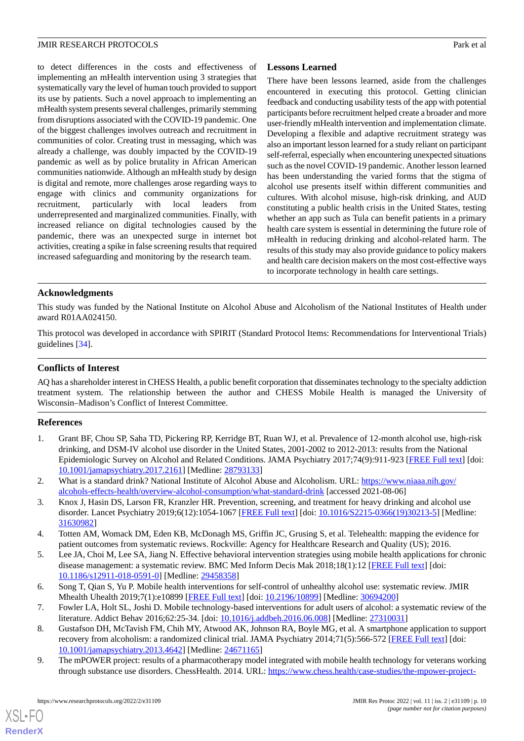to detect differences in the costs and effectiveness of implementing an mHealth intervention using 3 strategies that systematically vary the level of human touch provided to support its use by patients. Such a novel approach to implementing an mHealth system presents several challenges, primarily stemming from disruptions associated with the COVID-19 pandemic. One of the biggest challenges involves outreach and recruitment in communities of color. Creating trust in messaging, which was already a challenge, was doubly impacted by the COVID-19 pandemic as well as by police brutality in African American communities nationwide. Although an mHealth study by design is digital and remote, more challenges arose regarding ways to engage with clinics and community organizations for recruitment, particularly with local leaders from underrepresented and marginalized communities. Finally, with increased reliance on digital technologies caused by the pandemic, there was an unexpected surge in internet bot activities, creating a spike in false screening results that required increased safeguarding and monitoring by the research team.

# **Lessons Learned**

There have been lessons learned, aside from the challenges encountered in executing this protocol. Getting clinician feedback and conducting usability tests of the app with potential participants before recruitment helped create a broader and more user-friendly mHealth intervention and implementation climate. Developing a flexible and adaptive recruitment strategy was also an important lesson learned for a study reliant on participant self-referral, especially when encountering unexpected situations such as the novel COVID-19 pandemic. Another lesson learned has been understanding the varied forms that the stigma of alcohol use presents itself within different communities and cultures. With alcohol misuse, high-risk drinking, and AUD constituting a public health crisis in the United States, testing whether an app such as Tula can benefit patients in a primary health care system is essential in determining the future role of mHealth in reducing drinking and alcohol-related harm. The results of this study may also provide guidance to policy makers and health care decision makers on the most cost-effective ways to incorporate technology in health care settings.

# **Acknowledgments**

This study was funded by the National Institute on Alcohol Abuse and Alcoholism of the National Institutes of Health under award R01AA024150.

This protocol was developed in accordance with SPIRIT (Standard Protocol Items: Recommendations for Interventional Trials) guidelines [[34\]](#page-11-2).

#### **Conflicts of Interest**

<span id="page-9-0"></span>AQ has a shareholder interest in CHESS Health, a public benefit corporation that disseminates technology to the specialty addiction treatment system. The relationship between the author and CHESS Mobile Health is managed the University of Wisconsin–Madison's Conflict of Interest Committee.

#### **References**

- <span id="page-9-2"></span><span id="page-9-1"></span>1. Grant BF, Chou SP, Saha TD, Pickering RP, Kerridge BT, Ruan WJ, et al. Prevalence of 12-month alcohol use, high-risk drinking, and DSM-IV alcohol use disorder in the United States, 2001-2002 to 2012-2013: results from the National Epidemiologic Survey on Alcohol and Related Conditions. JAMA Psychiatry 2017;74(9):911-923 [[FREE Full text](http://europepmc.org/abstract/MED/28793133)] [doi: [10.1001/jamapsychiatry.2017.2161](http://dx.doi.org/10.1001/jamapsychiatry.2017.2161)] [Medline: [28793133](http://www.ncbi.nlm.nih.gov/entrez/query.fcgi?cmd=Retrieve&db=PubMed&list_uids=28793133&dopt=Abstract)]
- <span id="page-9-3"></span>2. What is a standard drink? National Institute of Alcohol Abuse and Alcoholism. URL: [https://www.niaaa.nih.gov/](https://www.niaaa.nih.gov/alcohols-effects-health/overview-alcohol-consumption/what-standard-drink) [alcohols-effects-health/overview-alcohol-consumption/what-standard-drink](https://www.niaaa.nih.gov/alcohols-effects-health/overview-alcohol-consumption/what-standard-drink) [accessed 2021-08-06]
- <span id="page-9-4"></span>3. Knox J, Hasin DS, Larson FR, Kranzler HR. Prevention, screening, and treatment for heavy drinking and alcohol use disorder. Lancet Psychiatry 2019;6(12):1054-1067 [\[FREE Full text\]](http://europepmc.org/abstract/MED/31630982) [doi: [10.1016/S2215-0366\(19\)30213-5](http://dx.doi.org/10.1016/S2215-0366(19)30213-5)] [Medline: [31630982](http://www.ncbi.nlm.nih.gov/entrez/query.fcgi?cmd=Retrieve&db=PubMed&list_uids=31630982&dopt=Abstract)]
- <span id="page-9-5"></span>4. Totten AM, Womack DM, Eden KB, McDonagh MS, Griffin JC, Grusing S, et al. Telehealth: mapping the evidence for patient outcomes from systematic reviews. Rockville: Agency for Healthcare Research and Quality (US); 2016.
- <span id="page-9-6"></span>5. Lee JA, Choi M, Lee SA, Jiang N. Effective behavioral intervention strategies using mobile health applications for chronic disease management: a systematic review. BMC Med Inform Decis Mak 2018;18(1):12 [[FREE Full text](https://bmcmedinformdecismak.biomedcentral.com/articles/10.1186/s12911-018-0591-0)] [doi: [10.1186/s12911-018-0591-0\]](http://dx.doi.org/10.1186/s12911-018-0591-0) [Medline: [29458358](http://www.ncbi.nlm.nih.gov/entrez/query.fcgi?cmd=Retrieve&db=PubMed&list_uids=29458358&dopt=Abstract)]
- <span id="page-9-7"></span>6. Song T, Qian S, Yu P. Mobile health interventions for self-control of unhealthy alcohol use: systematic review. JMIR Mhealth Uhealth 2019;7(1):e10899 [\[FREE Full text](https://mhealth.jmir.org/2019/1/e10899/)] [doi: [10.2196/10899\]](http://dx.doi.org/10.2196/10899) [Medline: [30694200\]](http://www.ncbi.nlm.nih.gov/entrez/query.fcgi?cmd=Retrieve&db=PubMed&list_uids=30694200&dopt=Abstract)
- 7. Fowler LA, Holt SL, Joshi D. Mobile technology-based interventions for adult users of alcohol: a systematic review of the literature. Addict Behav 2016;62:25-34. [doi: [10.1016/j.addbeh.2016.06.008](http://dx.doi.org/10.1016/j.addbeh.2016.06.008)] [Medline: [27310031](http://www.ncbi.nlm.nih.gov/entrez/query.fcgi?cmd=Retrieve&db=PubMed&list_uids=27310031&dopt=Abstract)]
- 8. Gustafson DH, McTavish FM, Chih MY, Atwood AK, Johnson RA, Boyle MG, et al. A smartphone application to support recovery from alcoholism: a randomized clinical trial. JAMA Psychiatry 2014;71(5):566-572 [[FREE Full text](http://europepmc.org/abstract/MED/24671165)] [doi: [10.1001/jamapsychiatry.2013.4642](http://dx.doi.org/10.1001/jamapsychiatry.2013.4642)] [Medline: [24671165](http://www.ncbi.nlm.nih.gov/entrez/query.fcgi?cmd=Retrieve&db=PubMed&list_uids=24671165&dopt=Abstract)]
- 9. The mPOWER project: results of a pharmacotherapy model integrated with mobile health technology for veterans working through substance use disorders. ChessHealth. 2014. URL: [https://www.chess.health/case-studies/the-mpower-project-](https://www.chess.health/case-studies/the-mpower-project-results-of-a-pharmacotherapy-model-integrated-with-mobile-health-technology-for-veterans-working-through-substance-use-disorders/)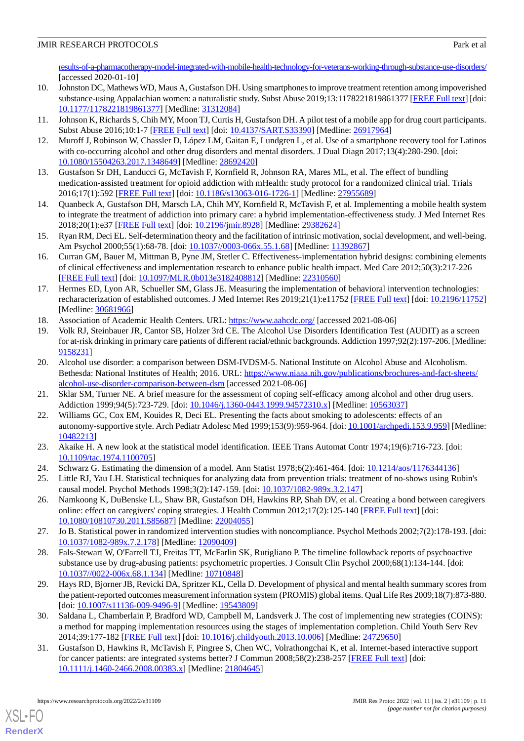[results-of-a-pharmacotherapy-model-integrated-with-mobile-health-technology-for-veterans-working-through-substance-use-disorders/](https://www.chess.health/case-studies/the-mpower-project-results-of-a-pharmacotherapy-model-integrated-with-mobile-health-technology-for-veterans-working-through-substance-use-disorders/) [accessed 2020-01-10]

- <span id="page-10-0"></span>10. Johnston DC, Mathews WD, Maus A, Gustafson DH. Using smartphones to improve treatment retention among impoverished substance-using Appalachian women: a naturalistic study. Subst Abuse 2019;13:1178221819861377 [\[FREE Full text\]](https://journals.sagepub.com/doi/10.1177/1178221819861377?url_ver=Z39.88-2003&rfr_id=ori:rid:crossref.org&rfr_dat=cr_pub%3dpubmed) [doi: [10.1177/1178221819861377\]](http://dx.doi.org/10.1177/1178221819861377) [Medline: [31312084\]](http://www.ncbi.nlm.nih.gov/entrez/query.fcgi?cmd=Retrieve&db=PubMed&list_uids=31312084&dopt=Abstract)
- <span id="page-10-2"></span><span id="page-10-1"></span>11. Johnson K, Richards S, Chih MY, Moon TJ, Curtis H, Gustafson DH. A pilot test of a mobile app for drug court participants. Subst Abuse 2016;10:1-7 [[FREE Full text](https://journals.sagepub.com/doi/10.4137/SART.S33390?url_ver=Z39.88-2003&rfr_id=ori:rid:crossref.org&rfr_dat=cr_pub%3dpubmed)] [doi: [10.4137/SART.S33390](http://dx.doi.org/10.4137/SART.S33390)] [Medline: [26917964\]](http://www.ncbi.nlm.nih.gov/entrez/query.fcgi?cmd=Retrieve&db=PubMed&list_uids=26917964&dopt=Abstract)
- <span id="page-10-3"></span>12. Muroff J, Robinson W, Chassler D, López LM, Gaitan E, Lundgren L, et al. Use of a smartphone recovery tool for Latinos with co-occurring alcohol and other drug disorders and mental disorders. J Dual Diagn 2017;13(4):280-290. [doi: [10.1080/15504263.2017.1348649\]](http://dx.doi.org/10.1080/15504263.2017.1348649) [Medline: [28692420\]](http://www.ncbi.nlm.nih.gov/entrez/query.fcgi?cmd=Retrieve&db=PubMed&list_uids=28692420&dopt=Abstract)
- <span id="page-10-4"></span>13. Gustafson Sr DH, Landucci G, McTavish F, Kornfield R, Johnson RA, Mares ML, et al. The effect of bundling medication-assisted treatment for opioid addiction with mHealth: study protocol for a randomized clinical trial. Trials 2016;17(1):592 [[FREE Full text\]](https://trialsjournal.biomedcentral.com/articles/10.1186/s13063-016-1726-1) [doi: [10.1186/s13063-016-1726-1](http://dx.doi.org/10.1186/s13063-016-1726-1)] [Medline: [27955689](http://www.ncbi.nlm.nih.gov/entrez/query.fcgi?cmd=Retrieve&db=PubMed&list_uids=27955689&dopt=Abstract)]
- <span id="page-10-5"></span>14. Quanbeck A, Gustafson DH, Marsch LA, Chih MY, Kornfield R, McTavish F, et al. Implementing a mobile health system to integrate the treatment of addiction into primary care: a hybrid implementation-effectiveness study. J Med Internet Res 2018;20(1):e37 [\[FREE Full text](https://www.jmir.org/2018/1/e37/)] [doi: [10.2196/jmir.8928\]](http://dx.doi.org/10.2196/jmir.8928) [Medline: [29382624](http://www.ncbi.nlm.nih.gov/entrez/query.fcgi?cmd=Retrieve&db=PubMed&list_uids=29382624&dopt=Abstract)]
- <span id="page-10-6"></span>15. Ryan RM, Deci EL. Self-determination theory and the facilitation of intrinsic motivation, social development, and well-being. Am Psychol 2000;55(1):68-78. [doi: [10.1037//0003-066x.55.1.68](http://dx.doi.org/10.1037//0003-066x.55.1.68)] [Medline: [11392867\]](http://www.ncbi.nlm.nih.gov/entrez/query.fcgi?cmd=Retrieve&db=PubMed&list_uids=11392867&dopt=Abstract)
- <span id="page-10-7"></span>16. Curran GM, Bauer M, Mittman B, Pyne JM, Stetler C. Effectiveness-implementation hybrid designs: combining elements of clinical effectiveness and implementation research to enhance public health impact. Med Care 2012;50(3):217-226 [[FREE Full text](http://europepmc.org/abstract/MED/22310560)] [doi: [10.1097/MLR.0b013e3182408812](http://dx.doi.org/10.1097/MLR.0b013e3182408812)] [Medline: [22310560](http://www.ncbi.nlm.nih.gov/entrez/query.fcgi?cmd=Retrieve&db=PubMed&list_uids=22310560&dopt=Abstract)]
- <span id="page-10-9"></span><span id="page-10-8"></span>17. Hermes ED, Lyon AR, Schueller SM, Glass JE. Measuring the implementation of behavioral intervention technologies: recharacterization of established outcomes. J Med Internet Res 2019;21(1):e11752 [[FREE Full text](https://www.jmir.org/2019/1/e11752/)] [doi: [10.2196/11752](http://dx.doi.org/10.2196/11752)] [Medline: [30681966](http://www.ncbi.nlm.nih.gov/entrez/query.fcgi?cmd=Retrieve&db=PubMed&list_uids=30681966&dopt=Abstract)]
- 18. Association of Academic Health Centers. URL:<https://www.aahcdc.org/> [accessed 2021-08-06]
- <span id="page-10-10"></span>19. Volk RJ, Steinbauer JR, Cantor SB, Holzer 3rd CE. The Alcohol Use Disorders Identification Test (AUDIT) as a screen for at-risk drinking in primary care patients of different racial/ethnic backgrounds. Addiction 1997;92(2):197-206. [Medline: [9158231\]](http://www.ncbi.nlm.nih.gov/entrez/query.fcgi?cmd=Retrieve&db=PubMed&list_uids=9158231&dopt=Abstract)
- <span id="page-10-12"></span><span id="page-10-11"></span>20. Alcohol use disorder: a comparison between DSM-IVDSM-5. National Institute on Alcohol Abuse and Alcoholism. Bethesda: National Institutes of Health; 2016. URL: [https://www.niaaa.nih.gov/publications/brochures-and-fact-sheets/](https://www.niaaa.nih.gov/publications/brochures-and-fact-sheets/alcohol-use-disorder-comparison-between-dsm) [alcohol-use-disorder-comparison-between-dsm](https://www.niaaa.nih.gov/publications/brochures-and-fact-sheets/alcohol-use-disorder-comparison-between-dsm) [accessed 2021-08-06]
- <span id="page-10-13"></span>21. Sklar SM, Turner NE. A brief measure for the assessment of coping self-efficacy among alcohol and other drug users. Addiction 1999;94(5):723-729. [doi: [10.1046/j.1360-0443.1999.94572310.x](http://dx.doi.org/10.1046/j.1360-0443.1999.94572310.x)] [Medline: [10563037](http://www.ncbi.nlm.nih.gov/entrez/query.fcgi?cmd=Retrieve&db=PubMed&list_uids=10563037&dopt=Abstract)]
- <span id="page-10-15"></span><span id="page-10-14"></span>22. Williams GC, Cox EM, Kouides R, Deci EL. Presenting the facts about smoking to adolescents: effects of an autonomy-supportive style. Arch Pediatr Adolesc Med 1999;153(9):959-964. [doi: [10.1001/archpedi.153.9.959\]](http://dx.doi.org/10.1001/archpedi.153.9.959) [Medline: [10482213](http://www.ncbi.nlm.nih.gov/entrez/query.fcgi?cmd=Retrieve&db=PubMed&list_uids=10482213&dopt=Abstract)]
- <span id="page-10-16"></span>23. Akaike H. A new look at the statistical model identification. IEEE Trans Automat Contr 1974;19(6):716-723. [doi: [10.1109/tac.1974.1100705\]](http://dx.doi.org/10.1109/tac.1974.1100705)
- 24. Schwarz G. Estimating the dimension of a model. Ann Statist 1978;6(2):461-464. [doi: [10.1214/aos/1176344136\]](http://dx.doi.org/10.1214/aos/1176344136)
- <span id="page-10-17"></span>25. Little RJ, Yau LH. Statistical techniques for analyzing data from prevention trials: treatment of no-shows using Rubin's causal model. Psychol Methods 1998;3(2):147-159. [doi: [10.1037/1082-989x.3.2.147\]](http://dx.doi.org/10.1037/1082-989x.3.2.147)
- <span id="page-10-18"></span>26. Namkoong K, DuBenske LL, Shaw BR, Gustafson DH, Hawkins RP, Shah DV, et al. Creating a bond between caregivers online: effect on caregivers' coping strategies. J Health Commun 2012;17(2):125-140 [\[FREE Full text\]](http://europepmc.org/abstract/MED/22004055) [doi: [10.1080/10810730.2011.585687\]](http://dx.doi.org/10.1080/10810730.2011.585687) [Medline: [22004055\]](http://www.ncbi.nlm.nih.gov/entrez/query.fcgi?cmd=Retrieve&db=PubMed&list_uids=22004055&dopt=Abstract)
- <span id="page-10-19"></span>27. Jo B. Statistical power in randomized intervention studies with noncompliance. Psychol Methods 2002;7(2):178-193. [doi: [10.1037/1082-989x.7.2.178\]](http://dx.doi.org/10.1037/1082-989x.7.2.178) [Medline: [12090409](http://www.ncbi.nlm.nih.gov/entrez/query.fcgi?cmd=Retrieve&db=PubMed&list_uids=12090409&dopt=Abstract)]
- <span id="page-10-20"></span>28. Fals-Stewart W, O'Farrell TJ, Freitas TT, McFarlin SK, Rutigliano P. The timeline followback reports of psychoactive substance use by drug-abusing patients: psychometric properties. J Consult Clin Psychol 2000;68(1):134-144. [doi: [10.1037//0022-006x.68.1.134](http://dx.doi.org/10.1037//0022-006x.68.1.134)] [Medline: [10710848](http://www.ncbi.nlm.nih.gov/entrez/query.fcgi?cmd=Retrieve&db=PubMed&list_uids=10710848&dopt=Abstract)]
- <span id="page-10-21"></span>29. Hays RD, Bjorner JB, Revicki DA, Spritzer KL, Cella D. Development of physical and mental health summary scores from the patient-reported outcomes measurement information system (PROMIS) global items. Qual Life Res 2009;18(7):873-880. [doi: [10.1007/s11136-009-9496-9](http://dx.doi.org/10.1007/s11136-009-9496-9)] [Medline: [19543809\]](http://www.ncbi.nlm.nih.gov/entrez/query.fcgi?cmd=Retrieve&db=PubMed&list_uids=19543809&dopt=Abstract)
- 30. Saldana L, Chamberlain P, Bradford WD, Campbell M, Landsverk J. The cost of implementing new strategies (COINS): a method for mapping implementation resources using the stages of implementation completion. Child Youth Serv Rev 2014;39:177-182 [\[FREE Full text\]](http://europepmc.org/abstract/MED/24729650) [doi: [10.1016/j.childyouth.2013.10.006\]](http://dx.doi.org/10.1016/j.childyouth.2013.10.006) [Medline: [24729650](http://www.ncbi.nlm.nih.gov/entrez/query.fcgi?cmd=Retrieve&db=PubMed&list_uids=24729650&dopt=Abstract)]
- 31. Gustafson D, Hawkins R, McTavish F, Pingree S, Chen WC, Volrathongchai K, et al. Internet-based interactive support for cancer patients: are integrated systems better? J Commun 2008;58(2):238-257 [\[FREE Full text\]](http://europepmc.org/abstract/MED/21804645) [doi: [10.1111/j.1460-2466.2008.00383.x\]](http://dx.doi.org/10.1111/j.1460-2466.2008.00383.x) [Medline: [21804645\]](http://www.ncbi.nlm.nih.gov/entrez/query.fcgi?cmd=Retrieve&db=PubMed&list_uids=21804645&dopt=Abstract)